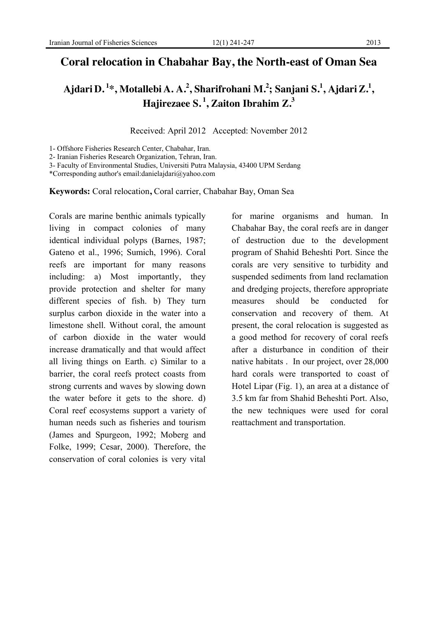## **Coral relocation in Chabahar Bay, the North-east of Oman Sea**

# **Ajdari D. 1 \* , Motallebi A. A. 2 , Sharifrohani M. 2 ; Sanjani S. 1 , AjdariZ. 1 , Hajirezaee S. 1 , Zaiton Ibrahim Z. 3**

Received: April 2012 Accepted: November 2012

1- Offshore Fisheries Research Center, Chabahar, Iran.

2- Iranian Fisheries Research Organization, Tehran, Iran.

3- Faculty of Environmental Studies, Universiti Putra Malaysia, 43400 UPM Serdang

\*Corresponding author's email:danielajdari@yahoo.com

**Keywords:** Coral relocation**,** Coral carrier, Chabahar Bay, Oman Sea

Corals are marine benthic animals typically living in compact colonies of many identical individual polyps (Barnes, 1987; Gateno et al., 1996; Sumich, 1996). Coral reefs are important for many reasons including: a) Most importantly, they provide protection and shelter for many different species of fish. b) They turn surplus carbon dioxide in the water into a limestone shell. Without coral, the amount of carbon dioxide in the water would increase dramatically and that would affect all living things on Earth. c) Similar to a barrier, the coral reefs protect coasts from strong currents and waves by slowing down the water before it gets to the shore. d) Coral reef ecosystems support a variety of human needs such as fisheries and tourism (James and Spurgeon, 1992; Moberg and Folke, 1999; Cesar, 2000). Therefore, the conservation of coral colonies is very vital

for marine organisms and human. In Chabahar Bay, the coral reefs are in danger of destruction due to the development program of Shahid Beheshti Port. Since the corals are very sensitive to turbidity and suspended sediments from land reclamation and dredging projects, therefore appropriate measures should be conducted for conservation and recovery of them. At present, the coral relocation is suggested as a good method for recovery of coral reefs after a disturbance in condition of their native habitats . In our project, over 28,000 hard corals were transported to coast of Hotel Lipar (Fig. 1), an area at a distance of 3.5 km far from Shahid Beheshti Port. Also, the new techniques were used for coral reattachment and transportation.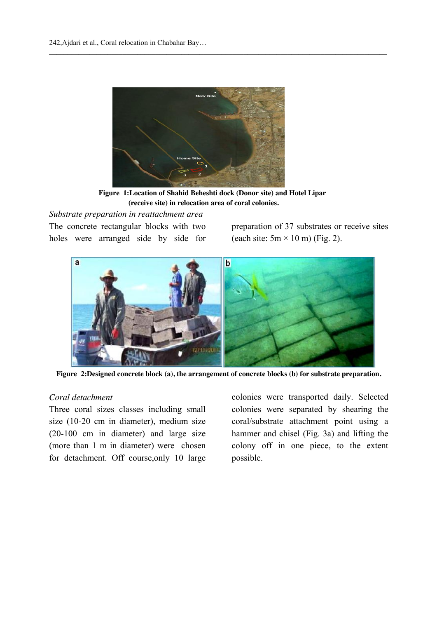

**Figure 1:Location of Shahid Beheshti dock (Donor site) and Hotel Lipar (receive site) in relocation area of coral colonies.** 

 $\_$  ,  $\_$  ,  $\_$  ,  $\_$  ,  $\_$  ,  $\_$  ,  $\_$  ,  $\_$  ,  $\_$  ,  $\_$  ,  $\_$  ,  $\_$  ,  $\_$  ,  $\_$  ,  $\_$  ,  $\_$  ,  $\_$  ,  $\_$  ,  $\_$  ,  $\_$  ,  $\_$  ,  $\_$  ,  $\_$  ,  $\_$  ,  $\_$  ,  $\_$  ,  $\_$  ,  $\_$  ,  $\_$  ,  $\_$  ,  $\_$  ,  $\_$  ,  $\_$  ,  $\_$  ,  $\_$  ,  $\_$  ,  $\_$  ,

## *Substrate preparation in reattachment area*

The concrete rectangular blocks with two holes were arranged side by side for

preparation of 37 substrates or receive sites (each site:  $5m \times 10m$ ) (Fig. 2).



**Figure 2:Designed concrete block (a), the arrangement of concrete blocks (b) for substrate preparation.**

## *Coral detachment*

Three coral sizes classes including small size (10-20 cm in diameter), medium size (20-100 cm in diameter) and large size (more than 1 m in diameter) were chosen for detachment. Off course,only 10 large

colonies were transported daily. Selected colonies were separated by shearing the coral/substrate attachment point using a hammer and chisel (Fig. 3a) and lifting the colony off in one piece, to the extent possible.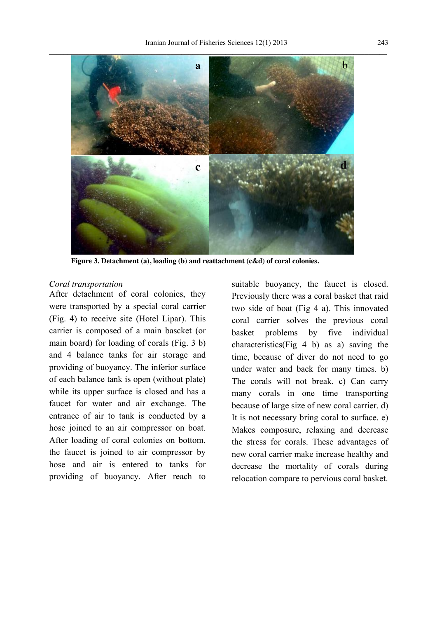

 **Figure 3. Detachment (a), loading (b) and reattachment (c&d) of coral colonies.**

#### *Coral transportation*

After detachment of coral colonies, they were transported by a special coral carrier (Fig. 4) to receive site (Hotel Lipar). This carrier is composed of a main bascket (or main board) for loading of corals (Fig. 3 b) and 4 balance tanks for air storage and providing of buoyancy. The inferior surface of each balance tank is open (without plate) while its upper surface is closed and has a faucet for water and air exchange. The entrance of air to tank is conducted by a hose joined to an air compressor on boat. After loading of coral colonies on bottom, the faucet is joined to air compressor by hose and air is entered to tanks for providing of buoyancy. After reach to

suitable buoyancy, the faucet is closed. Previously there was a coral basket that raid two side of boat (Fig 4 a). This innovated coral carrier solves the previous coral basket problems by five individual characteristics(Fig 4 b) as a) saving the time, because of diver do not need to go under water and back for many times. b) The corals will not break. c) Can carry many corals in one time transporting because of large size of new coral carrier. d) It is not necessary bring coral to surface. e) Makes composure, relaxing and decrease the stress for corals. These advantages of new coral carrier make increase healthy and decrease the mortality of corals during relocation compare to pervious coral basket.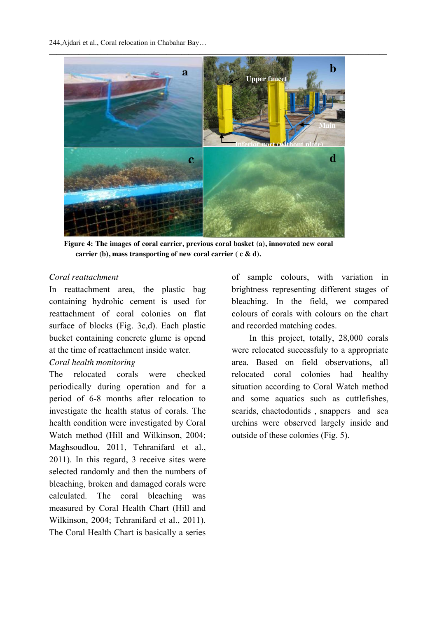244,Ajdari et al., Coral relocation in Chabahar Bay…



 **Figure 4: The images of coral carrier, previous coral basket (a), innovated new coral carrier (b), mass transporting of new coral carrier ( c & d).** 

## *Coral reattachment*

In reattachment area, the plastic bag containing hydrohic cement is used for reattachment of coral colonies on flat surface of blocks (Fig. 3c,d). Each plastic bucket containing concrete glume is opend at the time of reattachment inside water.

## *Coral health monitoring*

The relocated corals were checked periodically during operation and for a period of 6-8 months after relocation to investigate the health status of corals. The health condition were investigated by Coral Watch method (Hill and Wilkinson, 2004; Maghsoudlou, 2011, Tehranifard et al., 2011). In this regard, 3 receive sites were selected randomly and then the numbers of bleaching, broken and damaged corals were calculated. The coral bleaching was measured by Coral Health Chart (Hill and Wilkinson, 2004; Tehranifard et al., 2011). The Coral Health Chart is basically a series

of sample colours, with variation in brightness representing different stages of bleaching. In the field, we compared colours of corals with colours on the chart and recorded matching codes.

 In this project, totally, 28,000 corals were relocated successfuly to a appropriate area. Based on field observations, all relocated coral colonies had healthy situation according to Coral Watch method and some aquatics such as cuttlefishes, scarids, chaetodontids , snappers and sea urchins were observed largely inside and outside of these colonies (Fig. 5).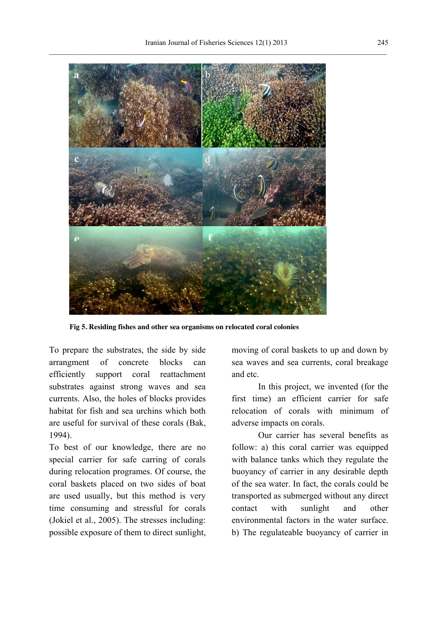

 **Fig 5. Residing fishes and other sea organisms on relocated coral colonies**

To prepare the substrates, the side by side arrangment of concrete blocks can efficiently support coral reattachment substrates against strong waves and sea currents. Also, the holes of blocks provides habitat for fish and sea urchins which both are useful for survival of these corals (Bak, 1994).

To best of our knowledge, there are no special carrier for safe carring of corals during relocation programes. Of course, the coral baskets placed on two sides of boat are used usually, but this method is very time consuming and stressful for corals (Jokiel et al., 2005). The stresses including: possible exposure of them to direct sunlight, moving of coral baskets to up and down by sea waves and sea currents, coral breakage and etc.

In this project, we invented (for the first time) an efficient carrier for safe relocation of corals with minimum of adverse impacts on corals.

Our carrier has several benefits as follow: a) this coral carrier was equipped with balance tanks which they regulate the buoyancy of carrier in any desirable depth of the sea water. In fact, the corals could be transported as submerged without any direct contact with sunlight and other environmental factors in the water surface. b) The regulateable buoyancy of carrier in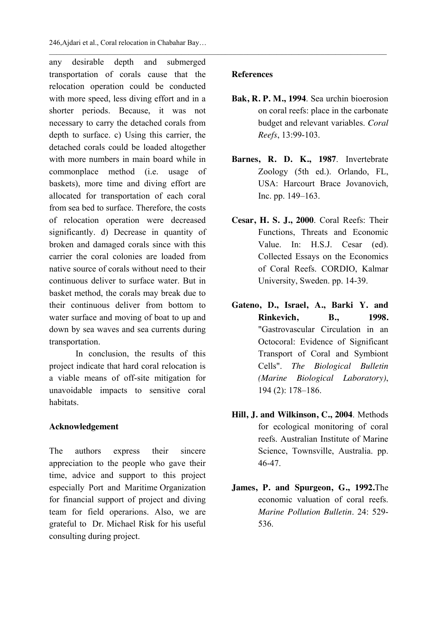246,Ajdari et al., Coral relocation in Chabahar Bay…

any desirable depth and submerged transportation of corals cause that the relocation operation could be conducted with more speed, less diving effort and in a shorter periods. Because, it was not necessary to carry the detached corals from depth to surface. c) Using this carrier, the detached corals could be loaded altogether with more numbers in main board while in commonplace method (i.e. usage of baskets), more time and diving effort are allocated for transportation of each coral from sea bed to surface. Therefore, the costs of relocation operation were decreased significantly. d) Decrease in quantity of broken and damaged corals since with this carrier the coral colonies are loaded from native source of corals without need to their continuous deliver to surface water. But in basket method, the corals may break due to their continuous deliver from bottom to water surface and moving of boat to up and down by sea waves and sea currents during transportation.

In conclusion, the results of this project indicate that hard coral relocation is a viable means of off-site mitigation for unavoidable impacts to sensitive coral habitats.

## **Acknowledgement**

The authors express their sincere appreciation to the people who gave their time, advice and support to this project especially Port and Maritime Organization for financial support of project and diving team for field operarions. Also, we are grateful to Dr. Michael Risk for his useful consulting during project.

## **References**

 $\_$  ,  $\_$  ,  $\_$  ,  $\_$  ,  $\_$  ,  $\_$  ,  $\_$  ,  $\_$  ,  $\_$  ,  $\_$  ,  $\_$  ,  $\_$  ,  $\_$  ,  $\_$  ,  $\_$  ,  $\_$  ,  $\_$  ,  $\_$  ,  $\_$  ,  $\_$  ,  $\_$  ,  $\_$  ,  $\_$  ,  $\_$  ,  $\_$  ,  $\_$  ,  $\_$  ,  $\_$  ,  $\_$  ,  $\_$  ,  $\_$  ,  $\_$  ,  $\_$  ,  $\_$  ,  $\_$  ,  $\_$  ,  $\_$  ,

- **Bak, R. P. M., 1994**. Sea urchin bioerosion on coral reefs: place in the carbonate budget and relevant variables. *Coral Reefs*, 13:99-103.
- **Barnes, R. D. K., 1987**. Invertebrate Zoology (5th ed.). Orlando, FL, USA: Harcourt Brace Jovanovich, Inc. pp. 149–163.
- **Cesar, H. S. J., 2000**. Coral Reefs: Their Functions, Threats and Economic Value. In: H.S.J. Cesar (ed). Collected Essays on the Economics of Coral Reefs. CORDIO, Kalmar University, Sweden. pp. 14-39.
- **Gateno, D., Israel, A., Barki Y. and Rinkevich, B., 1998.** "Gastrovascular Circulation in an Octocoral: Evidence of Significant Transport of Coral and Symbiont Cells". *The Biological Bulletin (Marine Biological Laboratory)*, 194 (2): 178–186.
- **Hill, J. and Wilkinson, C., 2004**. Methods for ecological monitoring of coral reefs. Australian Institute of Marine Science, Townsville, Australia. pp. 46-47.
- **James, P. and Spurgeon, G., 1992.**The economic valuation of coral reefs. *Marine Pollution Bulletin*. 24: 529- 536.